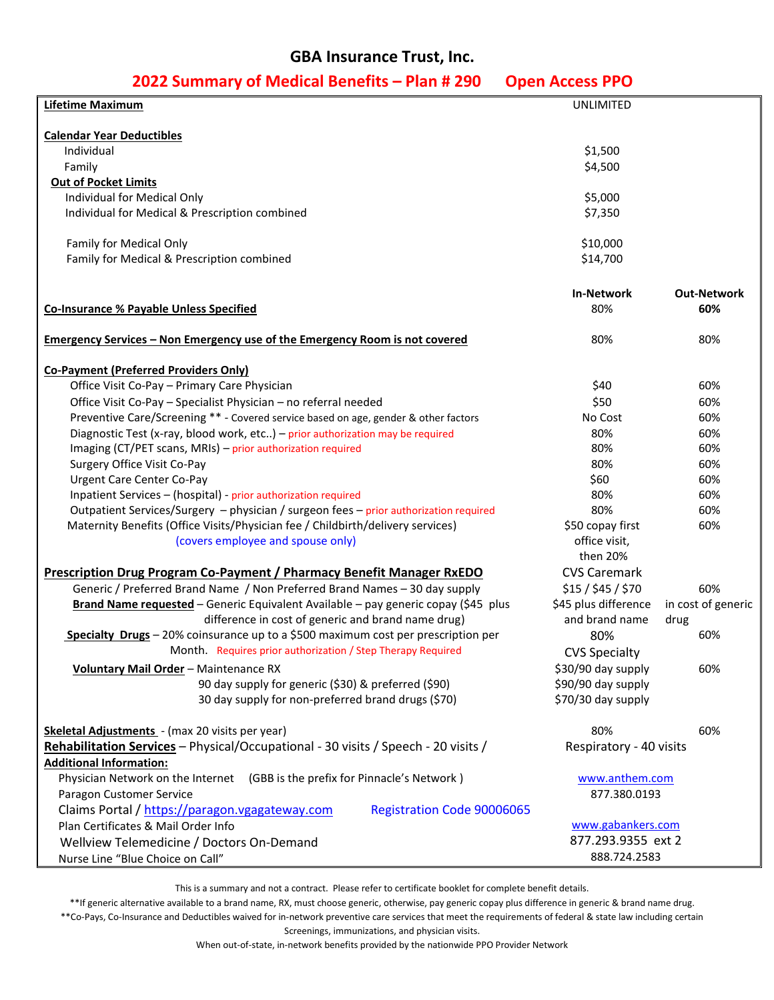## **GBA Insurance Trust, Inc.**

| 2022 Summary of Medical Belletics – Pian # 250                                        | <b>UPEII ALLESS PPU</b> |                    |
|---------------------------------------------------------------------------------------|-------------------------|--------------------|
| Lifetime Maximum                                                                      | UNLIMITED               |                    |
|                                                                                       |                         |                    |
| <b>Calendar Year Deductibles</b>                                                      |                         |                    |
| Individual                                                                            | \$1,500                 |                    |
| Family                                                                                | \$4,500                 |                    |
| <b>Out of Pocket Limits</b>                                                           |                         |                    |
| Individual for Medical Only                                                           | \$5,000                 |                    |
| Individual for Medical & Prescription combined                                        | \$7,350                 |                    |
|                                                                                       |                         |                    |
| Family for Medical Only                                                               | \$10,000                |                    |
| Family for Medical & Prescription combined                                            | \$14,700                |                    |
|                                                                                       |                         |                    |
|                                                                                       | <b>In-Network</b>       | <b>Out-Network</b> |
| <b>Co-Insurance % Payable Unless Specified</b>                                        | 80%                     | 60%                |
| Emergency Services - Non Emergency use of the Emergency Room is not covered           | 80%                     | 80%                |
|                                                                                       |                         |                    |
| <b>Co-Payment (Preferred Providers Only)</b>                                          |                         |                    |
| Office Visit Co-Pay - Primary Care Physician                                          | \$40                    | 60%                |
| Office Visit Co-Pay - Specialist Physician - no referral needed                       | \$50                    | 60%                |
| Preventive Care/Screening ** - Covered service based on age, gender & other factors   | No Cost                 | 60%                |
| Diagnostic Test (x-ray, blood work, etc) - prior authorization may be required        | 80%                     | 60%                |
| Imaging (CT/PET scans, MRIs) - prior authorization required                           | 80%                     | 60%                |
| Surgery Office Visit Co-Pay                                                           | 80%                     | 60%                |
| <b>Urgent Care Center Co-Pay</b>                                                      | \$60                    | 60%                |
| Inpatient Services - (hospital) - prior authorization required                        | 80%                     | 60%                |
| Outpatient Services/Surgery - physician / surgeon fees - prior authorization required | 80%                     | 60%                |
| Maternity Benefits (Office Visits/Physician fee / Childbirth/delivery services)       | \$50 copay first        | 60%                |
| (covers employee and spouse only)                                                     | office visit,           |                    |
|                                                                                       | then 20%                |                    |
| <b>Prescription Drug Program Co-Payment / Pharmacy Benefit Manager RxEDO</b>          | <b>CVS Caremark</b>     |                    |
| Generic / Preferred Brand Name / Non Preferred Brand Names - 30 day supply            | \$15/\$45/\$70          | 60%                |
| Brand Name requested - Generic Equivalent Available - pay generic copay (\$45 plus    | \$45 plus difference    | in cost of generic |
| difference in cost of generic and brand name drug)                                    | and brand name          | drug               |
| Specialty Drugs - 20% coinsurance up to a \$500 maximum cost per prescription per     | 80%                     | 60%                |
| Month. Requires prior authorization / Step Therapy Required                           | <b>CVS Specialty</b>    |                    |
| Voluntary Mail Order - Maintenance RX                                                 | \$30/90 day supply      | 60%                |
| 90 day supply for generic (\$30) & preferred (\$90)                                   | \$90/90 day supply      |                    |
| 30 day supply for non-preferred brand drugs (\$70)                                    | \$70/30 day supply      |                    |
| Skeletal Adjustments - (max 20 visits per year)                                       | 80%                     | 60%                |
| Rehabilitation Services - Physical/Occupational - 30 visits / Speech - 20 visits /    | Respiratory - 40 visits |                    |
| <b>Additional Information:</b>                                                        |                         |                    |
| Physician Network on the Internet (GBB is the prefix for Pinnacle's Network)          | www.anthem.com          |                    |
| Paragon Customer Service                                                              | 877.380.0193            |                    |
| Claims Portal / https://paragon.vgagateway.com<br><b>Registration Code 90006065</b>   |                         |                    |
| Plan Certificates & Mail Order Info                                                   | www.gabankers.com       |                    |
| Wellview Telemedicine / Doctors On-Demand                                             | 877.293.9355 ext 2      |                    |
| Nurse Line "Blue Choice on Call"                                                      | 888.724.2583            |                    |

## **2022 Summary of Medical Benefits – Plan # 290 Open Access PPO**

This is a summary and not a contract. Please refer to certificate booklet for complete benefit details.

\*\*If generic alternative available to a brand name, RX, must choose generic, otherwise, pay generic copay plus difference in generic & brand name drug. \*\*Co-Pays, Co-Insurance and Deductibles waived for in-network preventive care services that meet the requirements of federal & state law including certain Screenings, immunizations, and physician visits.

When out-of-state, in-network benefits provided by the nationwide PPO Provider Network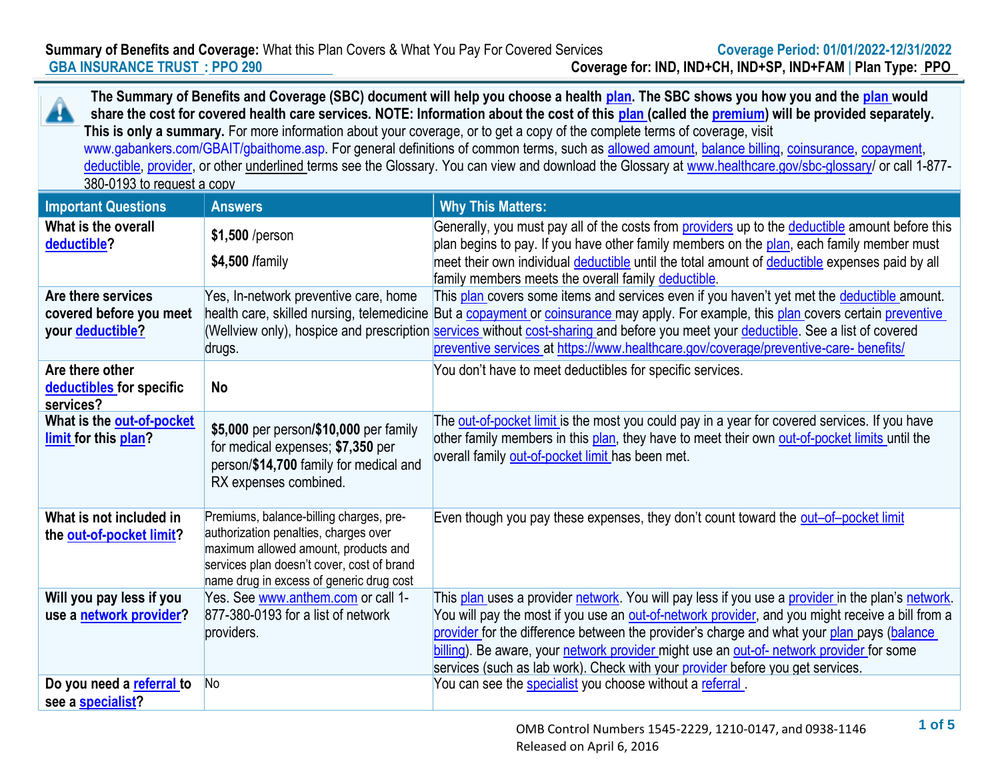**Summary of Benefits and Coverage:** What this Plan Covers & What You Pay For Covered Services **Coverage Period: 01/01/2022-12/31/2022 GBA INSURANCE TRUST : PPO 290 Coverage for: IND, IND+CH, IND+SP, IND+FAM** | **Plan Type: PPO**

**The Summary of Benefits and Coverage (SBC) document will help you choose a health plan. The SBC shows you how you and the plan would**  44 **share the cost for covered health care services. NOTE: Information about the cost of this plan (called the premium) will be provided separately. This is only a summary.** For more information about your coverage, or to get a copy of the complete terms of coverage, visit www.gabankers.com/GBAIT/gbaithome.asp. For general definitions of common terms, such as allowed amount, balance billing, coinsurance, copayment, deductible, provider, or other underlined terms see the Glossary. You can view and download the Glossary at www.healthcare.gov/sbc-glossary/ or call 1-877-380-0193 to request a copy **Important Questions Answers Answers Why This Matters: What is the overall**  Generally, you must pay all of the costs from providers up to the deductible amount before this **\$1,500** /person plan begins to pay. If you have other family members on the plan, each family member must **deductible? \$4,500 /**family meet their own individual deductible until the total amount of deductible expenses paid by all family members meets the overall family deductible. Yes, In-network preventive care, home This plan covers some items and services even if you haven't yet met the deductible amount. **Are there services covered before you meet**  health care, skilled nursing, telemedicine But a <u>copayment or coinsurance </u>may apply. For example, this <u>plan</u> covers certain <u>preventive</u> **your deductible?** (Wellview only), hospice and prescription **services** without cost-sharing and before you meet your deductible. See a list of covered preventive services at https://www.healthcare.gov/coverage/preventive-care- benefits/ drugs. **Are there other**  You don't have to meet deductibles for specific services. **deductibles for specific No services? What is the out-of-pocket** The out-of-pocket limit is the most you could pay in a year for covered services. If you have **\$5,000** per person**/\$10,000** per family **limit for this plan?** other family members in this plan, they have to meet their own out-of-pocket limits until the for medical expenses; **\$7,350** per overall family out-of-pocket limit has been met. person/**\$14,700** family for medical and RX expenses combined. Premiums, balance-billing charges, pre-Even though you pay these expenses, they don't count toward the out–of–pocket limit **What is not included in**  authorization penalties, charges over **the out-of-pocket limit?** maximum allowed amount, products and services plan doesn't cover, cost of brand name drug in excess of generic drug cost **Will you pay less if you**  Yes. See www.anthem.com or call 1-This plan uses a provider network. You will pay less if you use a provider in the plan's network. **use a network provider?** 877-380-0193 for a list of network You will pay the most if you use an out-of-network provider, and you might receive a bill from a providers. provider for the difference between the provider's charge and what your plan pays (balance billing). Be aware, your network provider might use an out-of- network provider for some services (such as lab work). Check with your provider before you get services. **Do you need a referral to**  No No You can see the specialist you choose without a referral . **see a specialist?**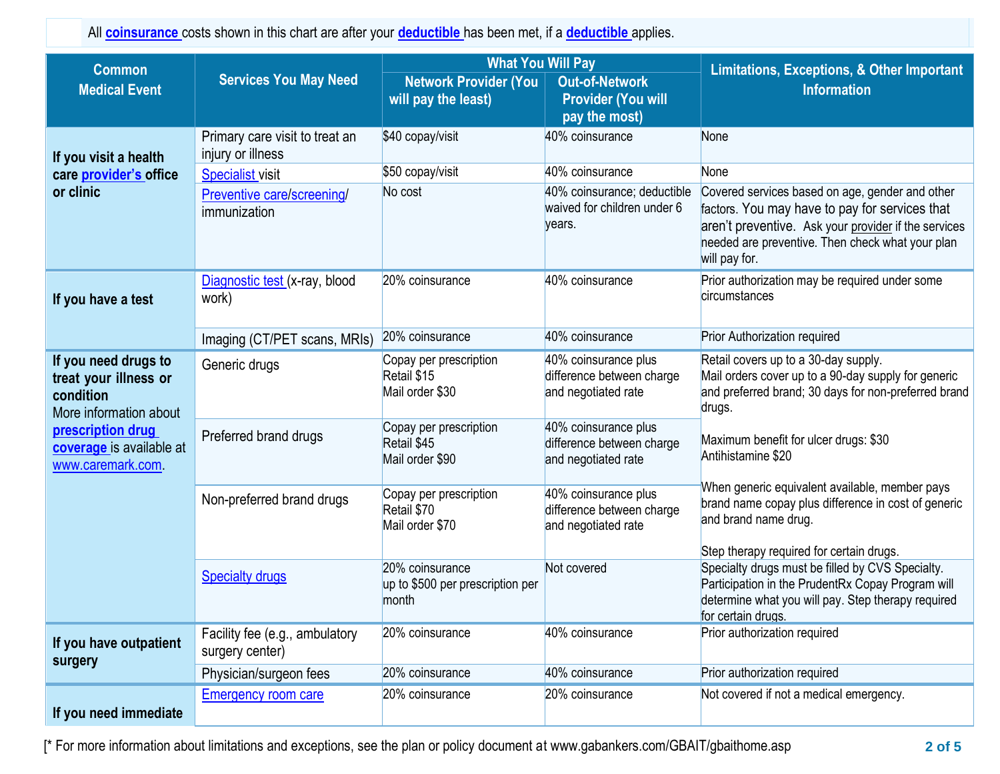All **coinsurance** costs shown in this chart are after your **deductible** has been met, if a **deductible** applies.

| <b>Common</b><br><b>Medical Event</b>                                                | <b>Services You May Need</b>                        | <b>What You Will Pay</b><br><b>Network Provider (You</b><br>will pay the least) | <b>Out-of-Network</b><br><b>Provider (You will</b><br>pay the most)      | <b>Limitations, Exceptions, &amp; Other Important</b><br><b>Information</b>                                                                                                                                                    |
|--------------------------------------------------------------------------------------|-----------------------------------------------------|---------------------------------------------------------------------------------|--------------------------------------------------------------------------|--------------------------------------------------------------------------------------------------------------------------------------------------------------------------------------------------------------------------------|
| If you visit a health                                                                | Primary care visit to treat an<br>injury or illness | \$40 copay/visit                                                                | 40% coinsurance                                                          | None                                                                                                                                                                                                                           |
| care provider's office                                                               | <b>Specialist visit</b>                             | \$50 copay/visit                                                                | 40% coinsurance                                                          | None                                                                                                                                                                                                                           |
| or clinic                                                                            | Preventive care/screening/<br>immunization          | No cost                                                                         | 40% coinsurance; deductible<br>waived for children under 6<br>vears.     | Covered services based on age, gender and other<br>factors. You may have to pay for services that<br>aren't preventive. Ask your provider if the services<br>needed are preventive. Then check what your plan<br>will pay for. |
| If you have a test                                                                   | Diagnostic test (x-ray, blood<br>work)              | 20% coinsurance                                                                 | 40% coinsurance                                                          | Prior authorization may be required under some<br>circumstances                                                                                                                                                                |
|                                                                                      | Imaging (CT/PET scans, MRIs)                        | 20% coinsurance                                                                 | 40% coinsurance                                                          | <b>Prior Authorization required</b>                                                                                                                                                                                            |
| If you need drugs to<br>treat your illness or<br>condition<br>More information about | Generic drugs                                       | Copay per prescription<br>Retail \$15<br>Mail order \$30                        | 40% coinsurance plus<br>difference between charge<br>and negotiated rate | Retail covers up to a 30-day supply.<br>Mail orders cover up to a 90-day supply for generic<br>and preferred brand; 30 days for non-preferred brand<br>drugs.                                                                  |
| prescription drug<br>coverage is available at<br>www.caremark.com.                   | Preferred brand drugs                               | Copay per prescription<br>Retail \$45<br>Mail order \$90                        | 40% coinsurance plus<br>difference between charge<br>and negotiated rate | Maximum benefit for ulcer drugs: \$30<br>Antihistamine \$20                                                                                                                                                                    |
|                                                                                      | Non-preferred brand drugs                           | Copay per prescription<br>Retail \$70<br>Mail order \$70                        | 40% coinsurance plus<br>difference between charge<br>and negotiated rate | When generic equivalent available, member pays<br>brand name copay plus difference in cost of generic<br>and brand name drug.<br>Step therapy required for certain drugs.                                                      |
|                                                                                      | <b>Specialty drugs</b>                              | 20% coinsurance<br>up to \$500 per prescription per<br>month                    | Not covered                                                              | Specialty drugs must be filled by CVS Specialty.<br>Participation in the PrudentRx Copay Program will<br>determine what you will pay. Step therapy required<br>for certain drugs.                                              |
| If you have outpatient<br>surgery                                                    | Facility fee (e.g., ambulatory<br>surgery center)   | 20% coinsurance                                                                 | 40% coinsurance                                                          | Prior authorization required                                                                                                                                                                                                   |
|                                                                                      | Physician/surgeon fees                              | 20% coinsurance                                                                 | 40% coinsurance                                                          | Prior authorization required                                                                                                                                                                                                   |
| If you need immediate                                                                | <b>Emergency room care</b>                          | 20% coinsurance                                                                 | 20% coinsurance                                                          | Not covered if not a medical emergency.                                                                                                                                                                                        |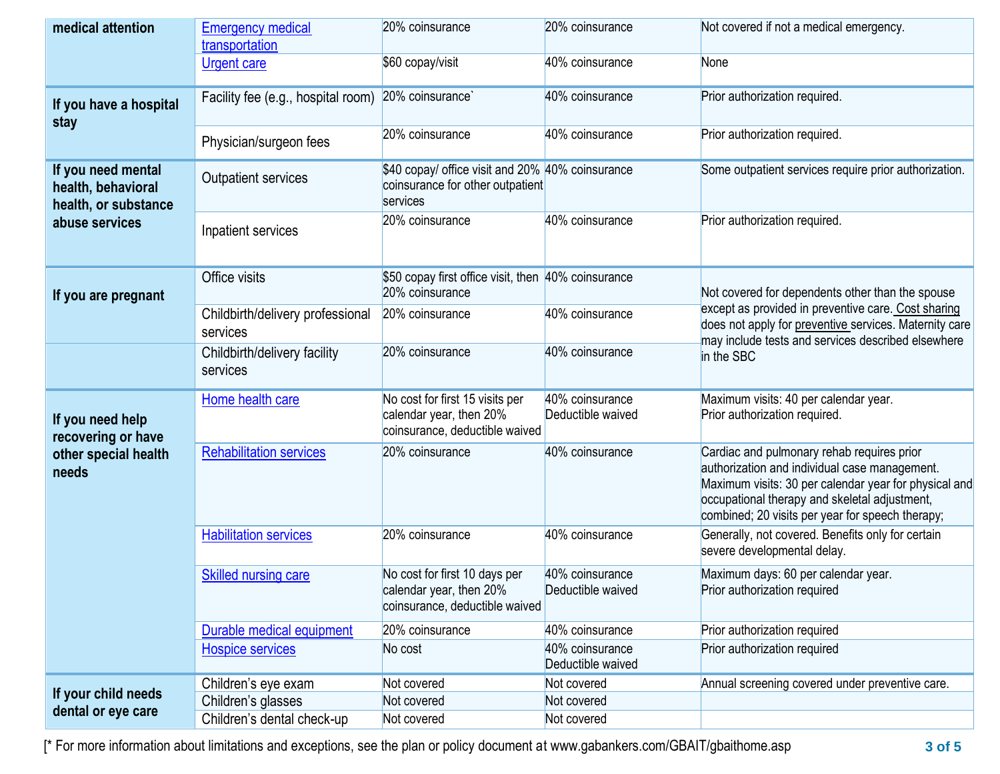| medical attention                                                | <b>Emergency medical</b><br>transportation   | 20% coinsurance                                                                                  | 20% coinsurance                      | Not covered if not a medical emergency.                                                                                                                                                                                                                   |
|------------------------------------------------------------------|----------------------------------------------|--------------------------------------------------------------------------------------------------|--------------------------------------|-----------------------------------------------------------------------------------------------------------------------------------------------------------------------------------------------------------------------------------------------------------|
|                                                                  | <b>Urgent care</b>                           | \$60 copay/visit                                                                                 | 40% coinsurance                      | None                                                                                                                                                                                                                                                      |
| If you have a hospital<br>stay                                   | Facility fee (e.g., hospital room)           | 20% coinsurance                                                                                  | 40% coinsurance                      | Prior authorization required.                                                                                                                                                                                                                             |
|                                                                  | Physician/surgeon fees                       | 20% coinsurance                                                                                  | 40% coinsurance                      | Prior authorization required.                                                                                                                                                                                                                             |
| If you need mental<br>health, behavioral<br>health, or substance | <b>Outpatient services</b>                   | \$40 copay/ office visit and 20% 40% coinsurance<br>coinsurance for other outpatient<br>services |                                      | Some outpatient services require prior authorization.                                                                                                                                                                                                     |
| abuse services                                                   | Inpatient services                           | 20% coinsurance                                                                                  | 40% coinsurance                      | Prior authorization required.                                                                                                                                                                                                                             |
| If you are pregnant                                              | Office visits                                | \$50 copay first office visit, then 40% coinsurance<br>20% coinsurance                           |                                      | Not covered for dependents other than the spouse                                                                                                                                                                                                          |
|                                                                  | Childbirth/delivery professional<br>services | 20% coinsurance                                                                                  | 40% coinsurance                      | except as provided in preventive care. Cost sharing<br>does not apply for preventive services. Maternity care<br>may include tests and services described elsewhere                                                                                       |
|                                                                  | Childbirth/delivery facility<br>services     | 20% coinsurance                                                                                  | 40% coinsurance                      | in the SBC                                                                                                                                                                                                                                                |
| If you need help<br>recovering or have                           | Home health care                             | No cost for first 15 visits per<br>calendar year, then 20%<br>coinsurance, deductible waived     | 40% coinsurance<br>Deductible waived | Maximum visits: 40 per calendar year.<br>Prior authorization required.                                                                                                                                                                                    |
| other special health<br>needs                                    | <b>Rehabilitation services</b>               | 20% coinsurance                                                                                  | 40% coinsurance                      | Cardiac and pulmonary rehab requires prior<br>authorization and individual case management.<br>Maximum visits: 30 per calendar year for physical and<br>occupational therapy and skeletal adjustment,<br>combined; 20 visits per year for speech therapy; |
|                                                                  | <b>Habilitation services</b>                 | 20% coinsurance                                                                                  | 40% coinsurance                      | Generally, not covered. Benefits only for certain<br>severe developmental delay.                                                                                                                                                                          |
|                                                                  | <b>Skilled nursing care</b>                  | No cost for first 10 days per<br>calendar year, then 20%<br>coinsurance, deductible waived       | 40% coinsurance<br>Deductible waived | Maximum days: 60 per calendar year.<br>Prior authorization required                                                                                                                                                                                       |
|                                                                  | Durable medical equipment                    | 20% coinsurance                                                                                  | 40% coinsurance                      | Prior authorization required                                                                                                                                                                                                                              |
|                                                                  | <b>Hospice services</b>                      | No cost                                                                                          | 40% coinsurance<br>Deductible waived | Prior authorization required                                                                                                                                                                                                                              |
|                                                                  | Children's eye exam                          | Not covered                                                                                      | Not covered                          | Annual screening covered under preventive care.                                                                                                                                                                                                           |
| If your child needs                                              | Children's glasses                           | Not covered                                                                                      | Not covered                          |                                                                                                                                                                                                                                                           |
| dental or eye care                                               | Children's dental check-up                   | Not covered                                                                                      | Not covered                          |                                                                                                                                                                                                                                                           |

[\* For more information about limitations and exceptions, see the plan or policy document at www.gabankers.com/GBAIT/gbaithome.asp **3 of 5**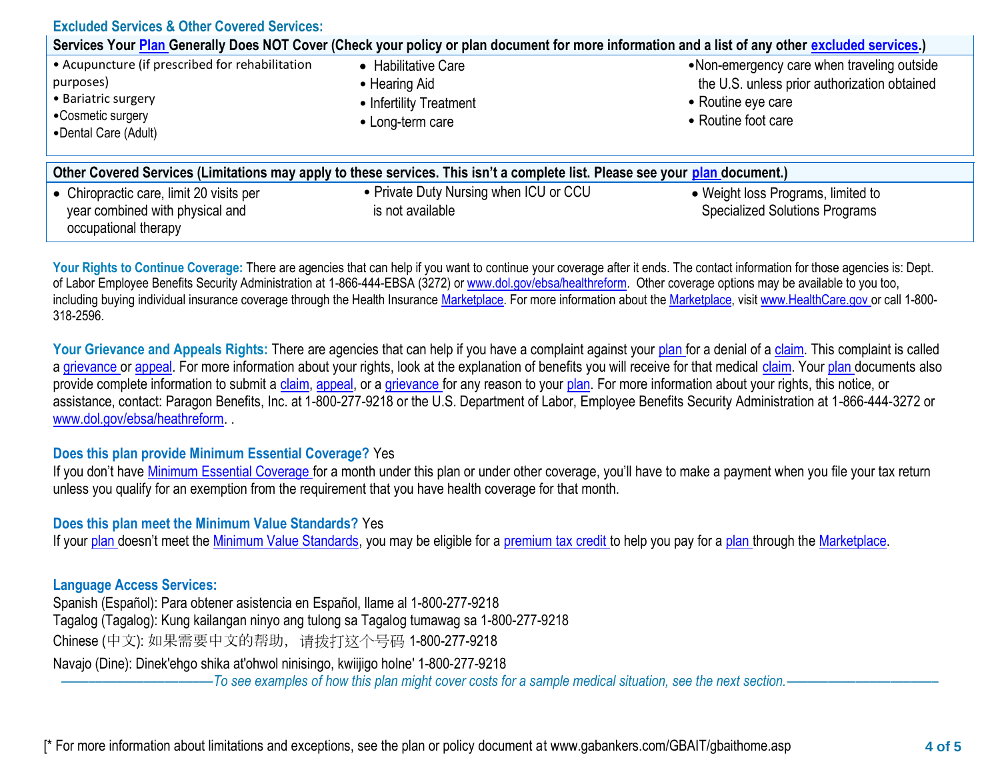| <b>Excluded Services &amp; Other Covered Services:</b>                                                                           |                                                                                                                                                  |                                                                                                                                         |
|----------------------------------------------------------------------------------------------------------------------------------|--------------------------------------------------------------------------------------------------------------------------------------------------|-----------------------------------------------------------------------------------------------------------------------------------------|
|                                                                                                                                  | Services Your Plan Generally Does NOT Cover (Check your policy or plan document for more information and a list of any other excluded services.) |                                                                                                                                         |
| • Acupuncture (if prescribed for rehabilitation<br>purposes)<br>• Bariatric surgery<br>•Cosmetic surgery<br>•Dental Care (Adult) | • Habilitative Care<br>• Hearing Aid<br>• Infertility Treatment<br>• Long-term care                                                              | •Non-emergency care when traveling outside<br>the U.S. unless prior authorization obtained<br>• Routine eye care<br>• Routine foot care |
|                                                                                                                                  | Other Covered Services (Limitations may apply to these services. This isn't a complete list. Please see your plan document.)                     |                                                                                                                                         |
| • Chiropractic care, limit 20 visits per<br>year combined with physical and<br>occupational therapy                              | • Private Duty Nursing when ICU or CCU<br>is not available                                                                                       | • Weight loss Programs, limited to<br><b>Specialized Solutions Programs</b>                                                             |

Your Rights to Continue Coverage: There are agencies that can help if you want to continue your coverage after it ends. The contact information for those agencies is: Dept. of Labor Employee Benefits Security Administration at 1-866-444-EBSA (3272) or www.dol.gov/ebsa/healthreform. Other coverage options may be available to you too, including buying individual insurance coverage through the Health Insurance Marketplace. For more information about the Marketplace, visit www.HealthCare.gov or call 1-800-318-2596.

Your Grievance and Appeals Rights: There are agencies that can help if you have a complaint against your plan for a denial of a claim. This complaint is called a grievance or appeal. For more information about your rights, look at the explanation of benefits you will receive for that medical claim. Your plan documents also provide complete information to submit a claim, appeal, or a grievance for any reason to your plan. For more information about your rights, this notice, or assistance, contact: Paragon Benefits, Inc. at 1-800-277-9218 or the U.S. Department of Labor, Employee Benefits Security Administration at 1-866-444-3272 or www.dol.gov/ebsa/heathreform. .

#### **Does this plan provide Minimum Essential Coverage?** Yes

If you don't have Minimum Essential Coverage for a month under this plan or under other coverage, you'll have to make a payment when you file your tax return unless you qualify for an exemption from the requirement that you have health coverage for that month.

#### **Does this plan meet the Minimum Value Standards?** Yes

If your plan doesn't meet the Minimum Value Standards, you may be eligible for a premium tax credit to help you pay for a plan through the Marketplace.

#### **Language Access Services:**

Spanish (Español): Para obtener asistencia en Español, llame al 1-800-277-9218 Tagalog (Tagalog): Kung kailangan ninyo ang tulong sa Tagalog tumawag sa 1-800-277-9218 Chinese (中文): 如果需要中文的帮助,请拨打这个号码 1-800-277-9218

Navajo (Dine): Dinek'ehgo shika at'ohwol ninisingo, kwiijigo holne' 1-800-277-9218

––––––––––––––––––––––*To see examples of how this plan might cover costs for a sample medical situation, see the next section.–––––––––––*–––––––––––